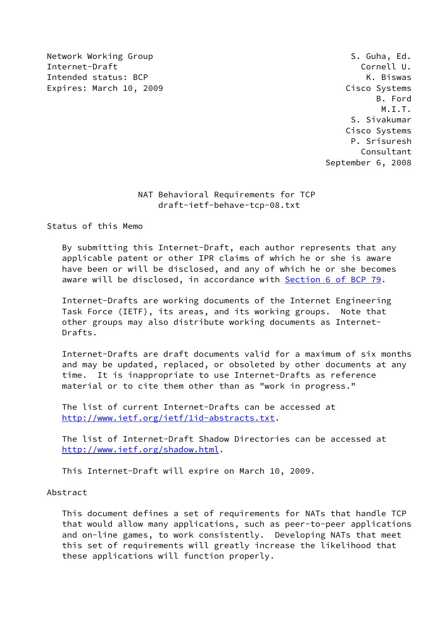Network Working Group **S. Guha, Ed.** S. Guha, Ed. Internet-Draft Cornell U. Intended status: BCP The Contract of the Contract of the K. Biswas Expires: March 10, 2009 Cisco Systems

 B. Ford M.I.T. S. Sivakumar Cisco Systems P. Srisuresh Consultant September 6, 2008

## NAT Behavioral Requirements for TCP draft-ietf-behave-tcp-08.txt

Status of this Memo

 By submitting this Internet-Draft, each author represents that any applicable patent or other IPR claims of which he or she is aware have been or will be disclosed, and any of which he or she becomes aware will be disclosed, in accordance with Section [6 of BCP 79.](https://datatracker.ietf.org/doc/pdf/bcp79#section-6)

 Internet-Drafts are working documents of the Internet Engineering Task Force (IETF), its areas, and its working groups. Note that other groups may also distribute working documents as Internet- Drafts.

 Internet-Drafts are draft documents valid for a maximum of six months and may be updated, replaced, or obsoleted by other documents at any time. It is inappropriate to use Internet-Drafts as reference material or to cite them other than as "work in progress."

 The list of current Internet-Drafts can be accessed at <http://www.ietf.org/ietf/1id-abstracts.txt>.

 The list of Internet-Draft Shadow Directories can be accessed at <http://www.ietf.org/shadow.html>.

This Internet-Draft will expire on March 10, 2009.

Abstract

 This document defines a set of requirements for NATs that handle TCP that would allow many applications, such as peer-to-peer applications and on-line games, to work consistently. Developing NATs that meet this set of requirements will greatly increase the likelihood that these applications will function properly.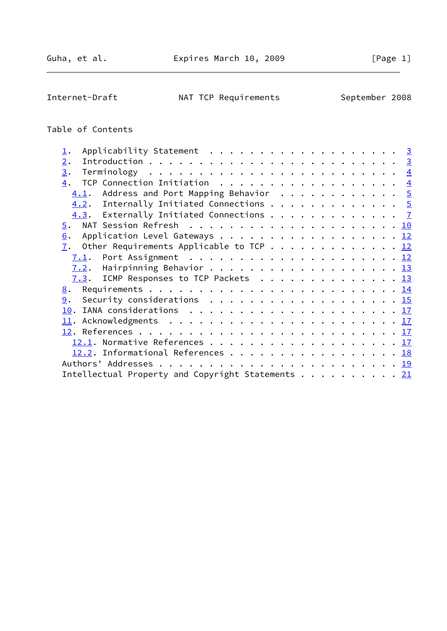Internet-Draft MAT TCP Requirements September 2008

# Table of Contents

| Applicability Statement 3<br>$\mathbf{\underline{1}}$ .   |  |
|-----------------------------------------------------------|--|
| 2.                                                        |  |
| 3.                                                        |  |
| 4. TCP Connection Initiation 4                            |  |
| 4.1. Address and Port Mapping Behavior 5                  |  |
| $\underline{4.2}$ . Internally Initiated Connections 5    |  |
| 4.3. Externally Initiated Connections 7                   |  |
|                                                           |  |
| Application Level Gateways 12<br>6.                       |  |
| $\underline{7}$ . Other Requirements Applicable to TCP 12 |  |
|                                                           |  |
|                                                           |  |
| 7.3. ICMP Responses to TCP Packets 13                     |  |
|                                                           |  |
|                                                           |  |
|                                                           |  |
|                                                           |  |
|                                                           |  |
|                                                           |  |
| $12.2$ . Informational References 18                      |  |
|                                                           |  |
| Intellectual Property and Copyright Statements 21         |  |
|                                                           |  |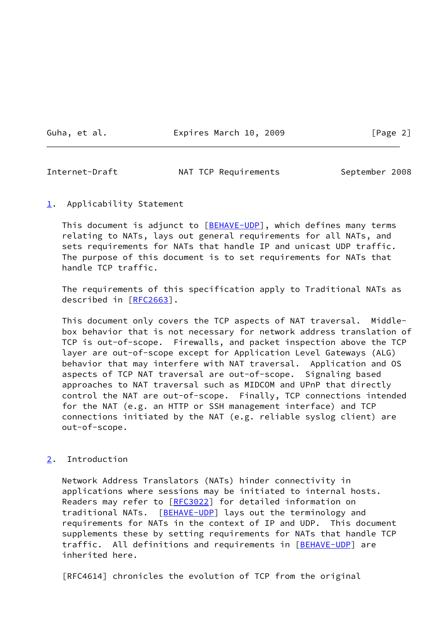Guha, et al. Expires March 10, 2009 [Page 2]

<span id="page-2-1"></span>Internet-Draft NAT TCP Requirements September 2008

<span id="page-2-0"></span>[1](#page-2-0). Applicability Statement

This document is adjunct to [\[BEHAVE-UDP\]](#page-16-1), which defines many terms relating to NATs, lays out general requirements for all NATs, and sets requirements for NATs that handle IP and unicast UDP traffic. The purpose of this document is to set requirements for NATs that handle TCP traffic.

 The requirements of this specification apply to Traditional NATs as described in [\[RFC2663](https://datatracker.ietf.org/doc/pdf/rfc2663)].

 This document only covers the TCP aspects of NAT traversal. Middle box behavior that is not necessary for network address translation of TCP is out-of-scope. Firewalls, and packet inspection above the TCP layer are out-of-scope except for Application Level Gateways (ALG) behavior that may interfere with NAT traversal. Application and OS aspects of TCP NAT traversal are out-of-scope. Signaling based approaches to NAT traversal such as MIDCOM and UPnP that directly control the NAT are out-of-scope. Finally, TCP connections intended for the NAT (e.g. an HTTP or SSH management interface) and TCP connections initiated by the NAT (e.g. reliable syslog client) are out-of-scope.

## <span id="page-2-2"></span>[2](#page-2-2). Introduction

 Network Address Translators (NATs) hinder connectivity in applications where sessions may be initiated to internal hosts. Readers may refer to [\[RFC3022](https://datatracker.ietf.org/doc/pdf/rfc3022)] for detailed information on traditional NATs. [[BEHAVE-UDP\]](#page-16-1) lays out the terminology and requirements for NATs in the context of IP and UDP. This document supplements these by setting requirements for NATs that handle TCP traffic. All definitions and requirements in [[BEHAVE-UDP\]](#page-16-1) are inherited here.

[RFC4614] chronicles the evolution of TCP from the original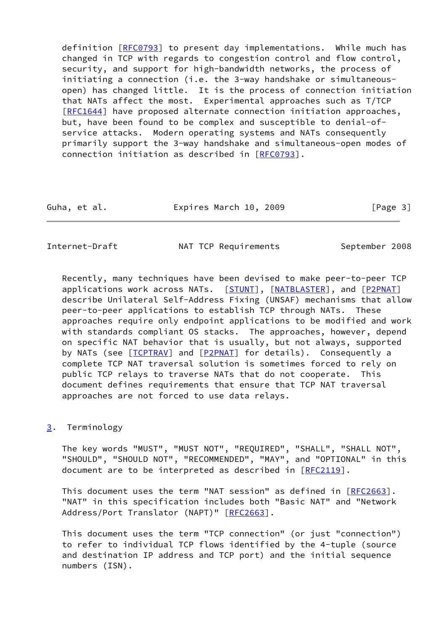definition [[RFC0793\]](https://datatracker.ietf.org/doc/pdf/rfc0793) to present day implementations. While much has changed in TCP with regards to congestion control and flow control, security, and support for high-bandwidth networks, the process of initiating a connection (i.e. the 3-way handshake or simultaneous open) has changed little. It is the process of connection initiation that NATs affect the most. Experimental approaches such as T/TCP [\[RFC1644](https://datatracker.ietf.org/doc/pdf/rfc1644)] have proposed alternate connection initiation approaches, but, have been found to be complex and susceptible to denial-of service attacks. Modern operating systems and NATs consequently primarily support the 3-way handshake and simultaneous-open modes of connection initiation as described in [[RFC0793](https://datatracker.ietf.org/doc/pdf/rfc0793)].

| Guha, et al. | Expires March 10, 2009 | [Page 3] |
|--------------|------------------------|----------|
|--------------|------------------------|----------|

<span id="page-3-1"></span>Internet-Draft MAT TCP Requirements September 2008

 Recently, many techniques have been devised to make peer-to-peer TCP applications work across NATs. [\[STUNT](#page-20-1)], [\[NATBLASTER\]](#page-19-4), and [[P2PNAT](#page-19-5)] describe Unilateral Self-Address Fixing (UNSAF) mechanisms that allow peer-to-peer applications to establish TCP through NATs. These approaches require only endpoint applications to be modified and work with standards compliant OS stacks. The approaches, however, depend on specific NAT behavior that is usually, but not always, supported by NATs (see [\[TCPTRAV](#page-20-2)] and [[P2PNAT](#page-19-5)] for details). Consequently a complete TCP NAT traversal solution is sometimes forced to rely on public TCP relays to traverse NATs that do not cooperate. This document defines requirements that ensure that TCP NAT traversal approaches are not forced to use data relays.

#### <span id="page-3-0"></span>[3](#page-3-0). Terminology

 The key words "MUST", "MUST NOT", "REQUIRED", "SHALL", "SHALL NOT", "SHOULD", "SHOULD NOT", "RECOMMENDED", "MAY", and "OPTIONAL" in this document are to be interpreted as described in [\[RFC2119](https://datatracker.ietf.org/doc/pdf/rfc2119)].

This document uses the term "NAT session" as defined in [\[RFC2663](https://datatracker.ietf.org/doc/pdf/rfc2663)]. "NAT" in this specification includes both "Basic NAT" and "Network Address/Port Translator (NAPT)" [\[RFC2663](https://datatracker.ietf.org/doc/pdf/rfc2663)].

 This document uses the term "TCP connection" (or just "connection") to refer to individual TCP flows identified by the 4-tuple (source and destination IP address and TCP port) and the initial sequence numbers (ISN).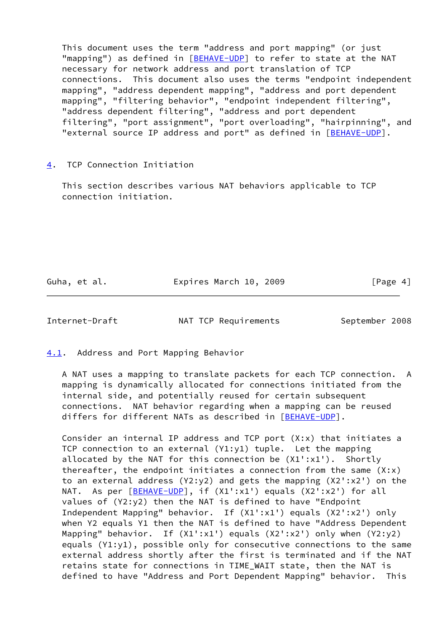This document uses the term "address and port mapping" (or just "mapping") as defined in [\[BEHAVE-UDP\]](#page-16-1) to refer to state at the NAT necessary for network address and port translation of TCP connections. This document also uses the terms "endpoint independent mapping", "address dependent mapping", "address and port dependent mapping", "filtering behavior", "endpoint independent filtering", "address dependent filtering", "address and port dependent filtering", "port assignment", "port overloading", "hairpinning", and "external source IP address and port" as defined in [\[BEHAVE-UDP\]](#page-16-1).

## <span id="page-4-0"></span>[4](#page-4-0). TCP Connection Initiation

 This section describes various NAT behaviors applicable to TCP connection initiation.

Guha, et al. Expires March 10, 2009 [Page 4]

<span id="page-4-2"></span>Internet-Draft NAT TCP Requirements September 2008

<span id="page-4-1"></span>[4.1](#page-4-1). Address and Port Mapping Behavior

 A NAT uses a mapping to translate packets for each TCP connection. A mapping is dynamically allocated for connections initiated from the internal side, and potentially reused for certain subsequent connections. NAT behavior regarding when a mapping can be reused differs for different NATs as described in [[BEHAVE-UDP\]](#page-16-1).

 Consider an internal IP address and TCP port (X:x) that initiates a TCP connection to an external (Y1:y1) tuple. Let the mapping allocated by the NAT for this connection be (X1':x1'). Shortly thereafter, the endpoint initiates a connection from the same  $(X:x)$  to an external address (Y2:y2) and gets the mapping (X2':x2') on the NAT. As per [\[BEHAVE-UDP\]](#page-16-1), if (X1':x1') equals (X2':x2') for all values of (Y2:y2) then the NAT is defined to have "Endpoint Independent Mapping" behavior. If (X1':x1') equals (X2':x2') only when Y2 equals Y1 then the NAT is defined to have "Address Dependent Mapping" behavior. If (X1':x1') equals (X2':x2') only when (Y2:y2) equals (Y1:y1), possible only for consecutive connections to the same external address shortly after the first is terminated and if the NAT retains state for connections in TIME\_WAIT state, then the NAT is defined to have "Address and Port Dependent Mapping" behavior. This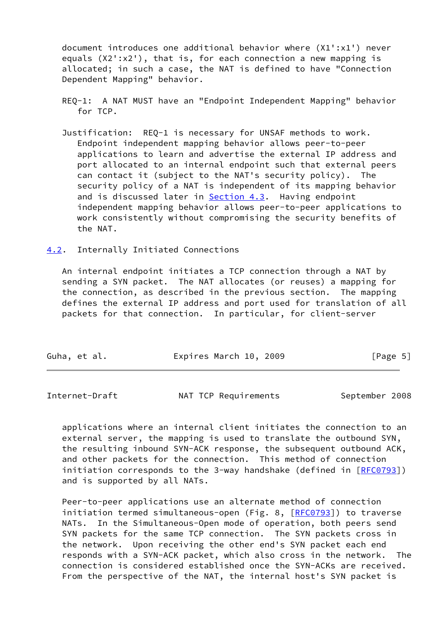document introduces one additional behavior where (X1':x1') never equals (X2':x2'), that is, for each connection a new mapping is allocated; in such a case, the NAT is defined to have "Connection Dependent Mapping" behavior.

- REQ-1: A NAT MUST have an "Endpoint Independent Mapping" behavior for TCP.
- Justification: REQ-1 is necessary for UNSAF methods to work. Endpoint independent mapping behavior allows peer-to-peer applications to learn and advertise the external IP address and port allocated to an internal endpoint such that external peers can contact it (subject to the NAT's security policy). The security policy of a NAT is independent of its mapping behavior and is discussed later in **Section 4.3</u>.** Having endpoint independent mapping behavior allows peer-to-peer applications to work consistently without compromising the security benefits of the NAT.
- <span id="page-5-0"></span>[4.2](#page-5-0). Internally Initiated Connections

 An internal endpoint initiates a TCP connection through a NAT by sending a SYN packet. The NAT allocates (or reuses) a mapping for the connection, as described in the previous section. The mapping defines the external IP address and port used for translation of all packets for that connection. In particular, for client-server

Internet-Draft NAT TCP Requirements September 2008

 applications where an internal client initiates the connection to an external server, the mapping is used to translate the outbound SYN, the resulting inbound SYN-ACK response, the subsequent outbound ACK, and other packets for the connection. This method of connection initiation corresponds to the 3-way handshake (defined in [[RFC0793](https://datatracker.ietf.org/doc/pdf/rfc0793)]) and is supported by all NATs.

 Peer-to-peer applications use an alternate method of connection initiation termed simultaneous-open (Fig. 8, [\[RFC0793](https://datatracker.ietf.org/doc/pdf/rfc0793)]) to traverse NATs. In the Simultaneous-Open mode of operation, both peers send SYN packets for the same TCP connection. The SYN packets cross in the network. Upon receiving the other end's SYN packet each end responds with a SYN-ACK packet, which also cross in the network. The connection is considered established once the SYN-ACKs are received. From the perspective of the NAT, the internal host's SYN packet is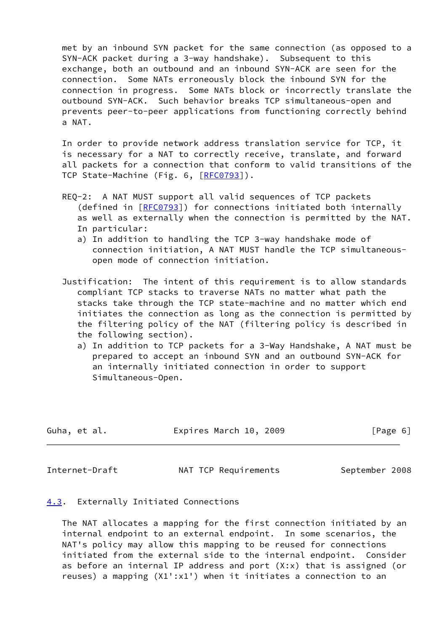met by an inbound SYN packet for the same connection (as opposed to a SYN-ACK packet during a 3-way handshake). Subsequent to this exchange, both an outbound and an inbound SYN-ACK are seen for the connection. Some NATs erroneously block the inbound SYN for the connection in progress. Some NATs block or incorrectly translate the outbound SYN-ACK. Such behavior breaks TCP simultaneous-open and prevents peer-to-peer applications from functioning correctly behind a NAT.

 In order to provide network address translation service for TCP, it is necessary for a NAT to correctly receive, translate, and forward all packets for a connection that conform to valid transitions of the TCP State-Machine (Fig. 6, [[RFC0793\]](https://datatracker.ietf.org/doc/pdf/rfc0793)).

- REQ-2: A NAT MUST support all valid sequences of TCP packets (defined in [\[RFC0793](https://datatracker.ietf.org/doc/pdf/rfc0793)]) for connections initiated both internally as well as externally when the connection is permitted by the NAT. In particular:
	- a) In addition to handling the TCP 3-way handshake mode of connection initiation, A NAT MUST handle the TCP simultaneous open mode of connection initiation.
- Justification: The intent of this requirement is to allow standards compliant TCP stacks to traverse NATs no matter what path the stacks take through the TCP state-machine and no matter which end initiates the connection as long as the connection is permitted by the filtering policy of the NAT (filtering policy is described in the following section).
	- a) In addition to TCP packets for a 3-Way Handshake, A NAT must be prepared to accept an inbound SYN and an outbound SYN-ACK for an internally initiated connection in order to support Simultaneous-Open.

| Guha, et al. | Expires March 10, 2009 | [Page 6] |
|--------------|------------------------|----------|
|              |                        |          |

<span id="page-6-1"></span>Internet-Draft MAT TCP Requirements September 2008

## <span id="page-6-0"></span>[4.3](#page-6-0). Externally Initiated Connections

 The NAT allocates a mapping for the first connection initiated by an internal endpoint to an external endpoint. In some scenarios, the NAT's policy may allow this mapping to be reused for connections initiated from the external side to the internal endpoint. Consider as before an internal IP address and port (X:x) that is assigned (or reuses) a mapping (X1':x1') when it initiates a connection to an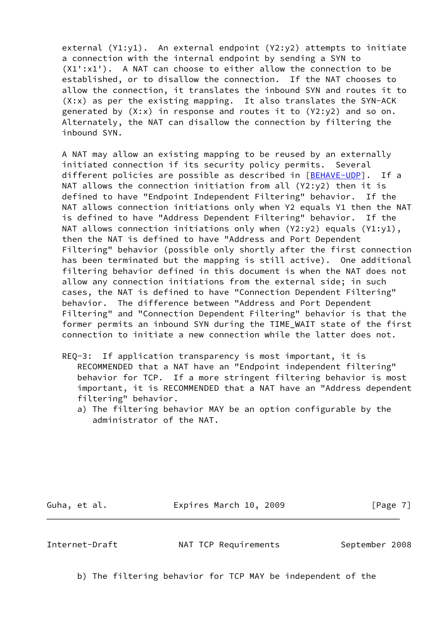external (Y1:y1). An external endpoint (Y2:y2) attempts to initiate a connection with the internal endpoint by sending a SYN to (X1':x1'). A NAT can choose to either allow the connection to be established, or to disallow the connection. If the NAT chooses to allow the connection, it translates the inbound SYN and routes it to (X:x) as per the existing mapping. It also translates the SYN-ACK generated by  $(X; x)$  in response and routes it to  $(Y2: y2)$  and so on. Alternately, the NAT can disallow the connection by filtering the inbound SYN.

 A NAT may allow an existing mapping to be reused by an externally initiated connection if its security policy permits. Several different policies are possible as described in [\[BEHAVE-UDP\]](#page-16-1). If a NAT allows the connection initiation from all  $(Y2: y2)$  then it is defined to have "Endpoint Independent Filtering" behavior. If the NAT allows connection initiations only when Y2 equals Y1 then the NAT is defined to have "Address Dependent Filtering" behavior. If the NAT allows connection initiations only when  $(Y2:y2)$  equals  $(Y1:y1)$ , then the NAT is defined to have "Address and Port Dependent Filtering" behavior (possible only shortly after the first connection has been terminated but the mapping is still active). One additional filtering behavior defined in this document is when the NAT does not allow any connection initiations from the external side; in such cases, the NAT is defined to have "Connection Dependent Filtering" behavior. The difference between "Address and Port Dependent Filtering" and "Connection Dependent Filtering" behavior is that the former permits an inbound SYN during the TIME\_WAIT state of the first connection to initiate a new connection while the latter does not.

- REQ-3: If application transparency is most important, it is RECOMMENDED that a NAT have an "Endpoint independent filtering" behavior for TCP. If a more stringent filtering behavior is most important, it is RECOMMENDED that a NAT have an "Address dependent filtering" behavior.
	- a) The filtering behavior MAY be an option configurable by the administrator of the NAT.

Guha, et al. **Expires March 10, 2009** [Page 7]

Internet-Draft NAT TCP Requirements September 2008

b) The filtering behavior for TCP MAY be independent of the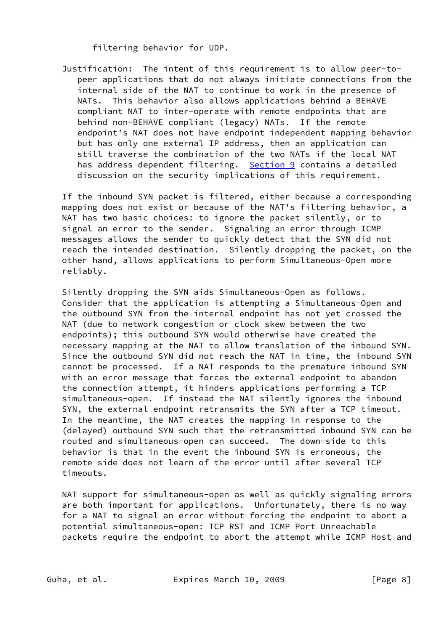filtering behavior for UDP.

 Justification: The intent of this requirement is to allow peer-to peer applications that do not always initiate connections from the internal side of the NAT to continue to work in the presence of NATs. This behavior also allows applications behind a BEHAVE compliant NAT to inter-operate with remote endpoints that are behind non-BEHAVE compliant (legacy) NATs. If the remote endpoint's NAT does not have endpoint independent mapping behavior but has only one external IP address, then an application can still traverse the combination of the two NATs if the local NAT has address dependent filtering. [Section 9](#page-16-0) contains a detailed discussion on the security implications of this requirement.

 If the inbound SYN packet is filtered, either because a corresponding mapping does not exist or because of the NAT's filtering behavior, a NAT has two basic choices: to ignore the packet silently, or to signal an error to the sender. Signaling an error through ICMP messages allows the sender to quickly detect that the SYN did not reach the intended destination. Silently dropping the packet, on the other hand, allows applications to perform Simultaneous-Open more reliably.

 Silently dropping the SYN aids Simultaneous-Open as follows. Consider that the application is attempting a Simultaneous-Open and the outbound SYN from the internal endpoint has not yet crossed the NAT (due to network congestion or clock skew between the two endpoints); this outbound SYN would otherwise have created the necessary mapping at the NAT to allow translation of the inbound SYN. Since the outbound SYN did not reach the NAT in time, the inbound SYN cannot be processed. If a NAT responds to the premature inbound SYN with an error message that forces the external endpoint to abandon the connection attempt, it hinders applications performing a TCP simultaneous-open. If instead the NAT silently ignores the inbound SYN, the external endpoint retransmits the SYN after a TCP timeout. In the meantime, the NAT creates the mapping in response to the (delayed) outbound SYN such that the retransmitted inbound SYN can be routed and simultaneous-open can succeed. The down-side to this behavior is that in the event the inbound SYN is erroneous, the remote side does not learn of the error until after several TCP timeouts.

 NAT support for simultaneous-open as well as quickly signaling errors are both important for applications. Unfortunately, there is no way for a NAT to signal an error without forcing the endpoint to abort a potential simultaneous-open: TCP RST and ICMP Port Unreachable packets require the endpoint to abort the attempt while ICMP Host and

Guha, et al. **Expires March 10, 2009** [Page 8]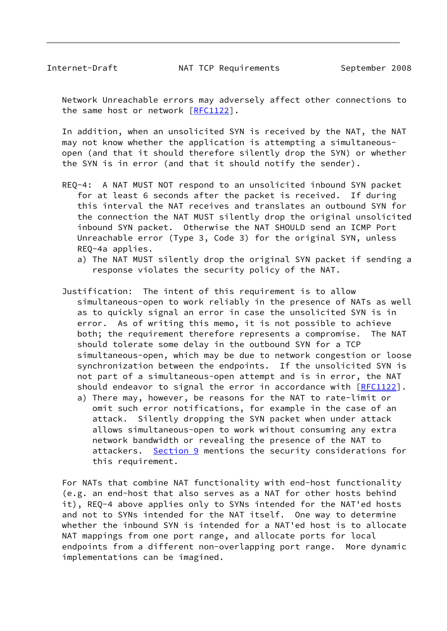Network Unreachable errors may adversely affect other connections to the same host or network [\[RFC1122](https://datatracker.ietf.org/doc/pdf/rfc1122)].

 In addition, when an unsolicited SYN is received by the NAT, the NAT may not know whether the application is attempting a simultaneous open (and that it should therefore silently drop the SYN) or whether the SYN is in error (and that it should notify the sender).

- REQ-4: A NAT MUST NOT respond to an unsolicited inbound SYN packet for at least 6 seconds after the packet is received. If during this interval the NAT receives and translates an outbound SYN for the connection the NAT MUST silently drop the original unsolicited inbound SYN packet. Otherwise the NAT SHOULD send an ICMP Port Unreachable error (Type 3, Code 3) for the original SYN, unless REQ-4a applies.
	- a) The NAT MUST silently drop the original SYN packet if sending a response violates the security policy of the NAT.
- Justification: The intent of this requirement is to allow simultaneous-open to work reliably in the presence of NATs as well as to quickly signal an error in case the unsolicited SYN is in error. As of writing this memo, it is not possible to achieve both; the requirement therefore represents a compromise. The NAT should tolerate some delay in the outbound SYN for a TCP simultaneous-open, which may be due to network congestion or loose synchronization between the endpoints. If the unsolicited SYN is not part of a simultaneous-open attempt and is in error, the NAT should endeavor to signal the error in accordance with [[RFC1122](https://datatracker.ietf.org/doc/pdf/rfc1122)].
	- a) There may, however, be reasons for the NAT to rate-limit or omit such error notifications, for example in the case of an attack. Silently dropping the SYN packet when under attack allows simultaneous-open to work without consuming any extra network bandwidth or revealing the presence of the NAT to attackers. [Section 9](#page-16-0) mentions the security considerations for this requirement.

 For NATs that combine NAT functionality with end-host functionality (e.g. an end-host that also serves as a NAT for other hosts behind it), REQ-4 above applies only to SYNs intended for the NAT'ed hosts and not to SYNs intended for the NAT itself. One way to determine whether the inbound SYN is intended for a NAT'ed host is to allocate NAT mappings from one port range, and allocate ports for local endpoints from a different non-overlapping port range. More dynamic implementations can be imagined.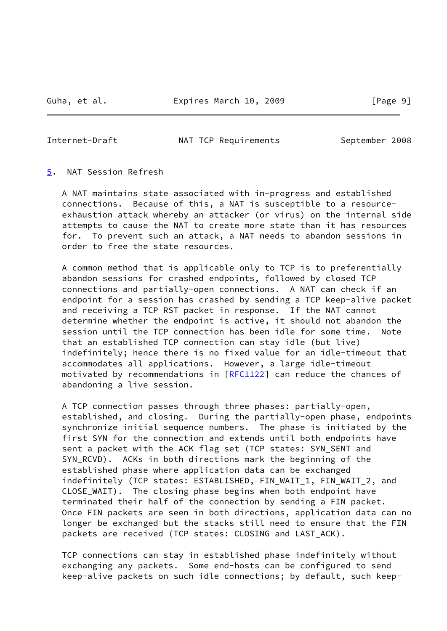<span id="page-10-1"></span>Internet-Draft MAT TCP Requirements September 2008

#### <span id="page-10-0"></span>[5](#page-10-0). NAT Session Refresh

 A NAT maintains state associated with in-progress and established connections. Because of this, a NAT is susceptible to a resource exhaustion attack whereby an attacker (or virus) on the internal side attempts to cause the NAT to create more state than it has resources for. To prevent such an attack, a NAT needs to abandon sessions in order to free the state resources.

 A common method that is applicable only to TCP is to preferentially abandon sessions for crashed endpoints, followed by closed TCP connections and partially-open connections. A NAT can check if an endpoint for a session has crashed by sending a TCP keep-alive packet and receiving a TCP RST packet in response. If the NAT cannot determine whether the endpoint is active, it should not abandon the session until the TCP connection has been idle for some time. Note that an established TCP connection can stay idle (but live) indefinitely; hence there is no fixed value for an idle-timeout that accommodates all applications. However, a large idle-timeout motivated by recommendations in [\[RFC1122](https://datatracker.ietf.org/doc/pdf/rfc1122)] can reduce the chances of abandoning a live session.

 A TCP connection passes through three phases: partially-open, established, and closing. During the partially-open phase, endpoints synchronize initial sequence numbers. The phase is initiated by the first SYN for the connection and extends until both endpoints have sent a packet with the ACK flag set (TCP states: SYN\_SENT and SYN\_RCVD). ACKs in both directions mark the beginning of the established phase where application data can be exchanged indefinitely (TCP states: ESTABLISHED, FIN\_WAIT\_1, FIN\_WAIT\_2, and CLOSE\_WAIT). The closing phase begins when both endpoint have terminated their half of the connection by sending a FIN packet. Once FIN packets are seen in both directions, application data can no longer be exchanged but the stacks still need to ensure that the FIN packets are received (TCP states: CLOSING and LAST\_ACK).

 TCP connections can stay in established phase indefinitely without exchanging any packets. Some end-hosts can be configured to send keep-alive packets on such idle connections; by default, such keep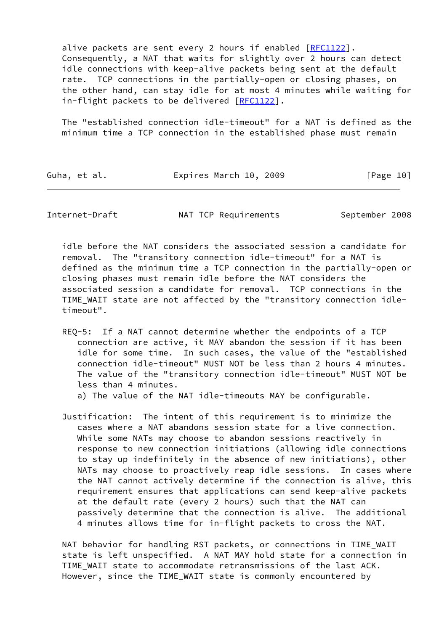alive packets are sent every 2 hours if enabled [\[RFC1122](https://datatracker.ietf.org/doc/pdf/rfc1122)]. Consequently, a NAT that waits for slightly over 2 hours can detect idle connections with keep-alive packets being sent at the default rate. TCP connections in the partially-open or closing phases, on the other hand, can stay idle for at most 4 minutes while waiting for in-flight packets to be delivered [[RFC1122](https://datatracker.ietf.org/doc/pdf/rfc1122)].

 The "established connection idle-timeout" for a NAT is defined as the minimum time a TCP connection in the established phase must remain

| Guha, et al. | Expires March 10, 2009 | [Page 10] |
|--------------|------------------------|-----------|
|              |                        |           |

Internet-Draft MAT TCP Requirements September 2008

 idle before the NAT considers the associated session a candidate for removal. The "transitory connection idle-timeout" for a NAT is defined as the minimum time a TCP connection in the partially-open or closing phases must remain idle before the NAT considers the associated session a candidate for removal. TCP connections in the TIME\_WAIT state are not affected by the "transitory connection idle timeout".

 REQ-5: If a NAT cannot determine whether the endpoints of a TCP connection are active, it MAY abandon the session if it has been idle for some time. In such cases, the value of the "established connection idle-timeout" MUST NOT be less than 2 hours 4 minutes. The value of the "transitory connection idle-timeout" MUST NOT be less than 4 minutes.

a) The value of the NAT idle-timeouts MAY be configurable.

 Justification: The intent of this requirement is to minimize the cases where a NAT abandons session state for a live connection. While some NATs may choose to abandon sessions reactively in response to new connection initiations (allowing idle connections to stay up indefinitely in the absence of new initiations), other NATs may choose to proactively reap idle sessions. In cases where the NAT cannot actively determine if the connection is alive, this requirement ensures that applications can send keep-alive packets at the default rate (every 2 hours) such that the NAT can passively determine that the connection is alive. The additional 4 minutes allows time for in-flight packets to cross the NAT.

 NAT behavior for handling RST packets, or connections in TIME\_WAIT state is left unspecified. A NAT MAY hold state for a connection in TIME\_WAIT state to accommodate retransmissions of the last ACK. However, since the TIME\_WAIT state is commonly encountered by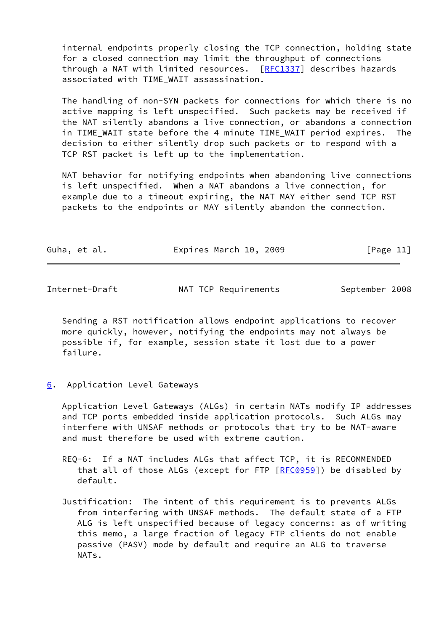internal endpoints properly closing the TCP connection, holding state for a closed connection may limit the throughput of connections through a NAT with limited resources. [\[RFC1337](https://datatracker.ietf.org/doc/pdf/rfc1337)] describes hazards associated with TIME\_WAIT assassination.

 The handling of non-SYN packets for connections for which there is no active mapping is left unspecified. Such packets may be received if the NAT silently abandons a live connection, or abandons a connection in TIME\_WAIT state before the 4 minute TIME\_WAIT period expires. The decision to either silently drop such packets or to respond with a TCP RST packet is left up to the implementation.

 NAT behavior for notifying endpoints when abandoning live connections is left unspecified. When a NAT abandons a live connection, for example due to a timeout expiring, the NAT MAY either send TCP RST packets to the endpoints or MAY silently abandon the connection.

| Guha, et al. | Expires March 10, 2009 |  | [Page 11] |
|--------------|------------------------|--|-----------|
|--------------|------------------------|--|-----------|

<span id="page-12-1"></span>Internet-Draft MAT TCP Requirements September 2008

 Sending a RST notification allows endpoint applications to recover more quickly, however, notifying the endpoints may not always be possible if, for example, session state it lost due to a power failure.

#### <span id="page-12-0"></span>[6](#page-12-0). Application Level Gateways

 Application Level Gateways (ALGs) in certain NATs modify IP addresses and TCP ports embedded inside application protocols. Such ALGs may interfere with UNSAF methods or protocols that try to be NAT-aware and must therefore be used with extreme caution.

- REQ-6: If a NAT includes ALGs that affect TCP, it is RECOMMENDED that all of those ALGs (except for FTP [[RFC0959](https://datatracker.ietf.org/doc/pdf/rfc0959)]) be disabled by default.
- Justification: The intent of this requirement is to prevents ALGs from interfering with UNSAF methods. The default state of a FTP ALG is left unspecified because of legacy concerns: as of writing this memo, a large fraction of legacy FTP clients do not enable passive (PASV) mode by default and require an ALG to traverse NATs.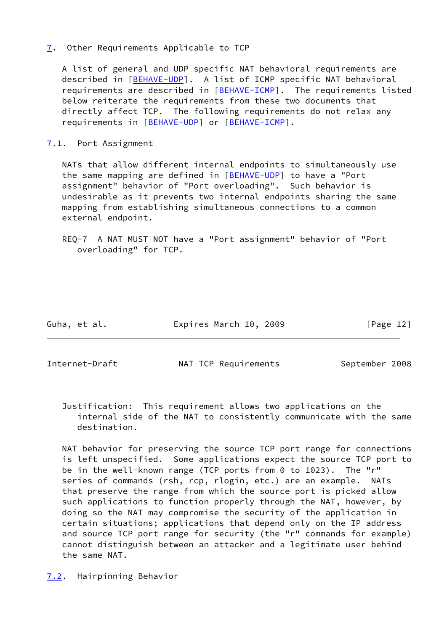## <span id="page-13-0"></span>[7](#page-13-0). Other Requirements Applicable to TCP

 A list of general and UDP specific NAT behavioral requirements are described in [\[BEHAVE-UDP\]](#page-16-1). A list of ICMP specific NAT behavioral requirements are described in [[BEHAVE-ICMP](#page-19-6)]. The requirements listed below reiterate the requirements from these two documents that directly affect TCP. The following requirements do not relax any requirements in [\[BEHAVE-UDP\]](#page-16-1) or [\[BEHAVE-ICMP](#page-19-6)].

## <span id="page-13-1"></span>[7.1](#page-13-1). Port Assignment

 NATs that allow different internal endpoints to simultaneously use the same mapping are defined in [\[BEHAVE-UDP\]](#page-16-1) to have a "Port assignment" behavior of "Port overloading". Such behavior is undesirable as it prevents two internal endpoints sharing the same mapping from establishing simultaneous connections to a common external endpoint.

 REQ-7 A NAT MUST NOT have a "Port assignment" behavior of "Port overloading" for TCP.

Guha, et al. Expires March 10, 2009 [Page 12]

<span id="page-13-3"></span>

Internet-Draft NAT TCP Requirements September 2008

 Justification: This requirement allows two applications on the internal side of the NAT to consistently communicate with the same destination.

 NAT behavior for preserving the source TCP port range for connections is left unspecified. Some applications expect the source TCP port to be in the well-known range (TCP ports from 0 to 1023). The "r" series of commands (rsh, rcp, rlogin, etc.) are an example. NATs that preserve the range from which the source port is picked allow such applications to function properly through the NAT, however, by doing so the NAT may compromise the security of the application in certain situations; applications that depend only on the IP address and source TCP port range for security (the "r" commands for example) cannot distinguish between an attacker and a legitimate user behind the same NAT.

<span id="page-13-2"></span>[7.2](#page-13-2). Hairpinning Behavior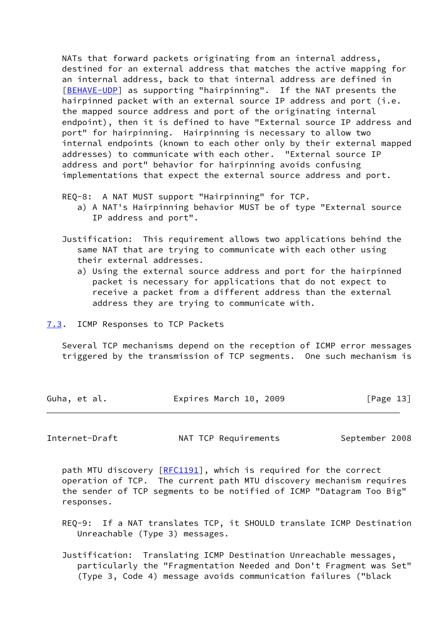NATs that forward packets originating from an internal address, destined for an external address that matches the active mapping for an internal address, back to that internal address are defined in [\[BEHAVE-UDP\]](#page-16-1) as supporting "hairpinning". If the NAT presents the hairpinned packet with an external source IP address and port (i.e. the mapped source address and port of the originating internal endpoint), then it is defined to have "External source IP address and port" for hairpinning. Hairpinning is necessary to allow two internal endpoints (known to each other only by their external mapped addresses) to communicate with each other. "External source IP address and port" behavior for hairpinning avoids confusing implementations that expect the external source address and port.

REQ-8: A NAT MUST support "Hairpinning" for TCP.

- a) A NAT's Hairpinning behavior MUST be of type "External source IP address and port".
- Justification: This requirement allows two applications behind the same NAT that are trying to communicate with each other using their external addresses.
	- a) Using the external source address and port for the hairpinned packet is necessary for applications that do not expect to receive a packet from a different address than the external address they are trying to communicate with.
- <span id="page-14-0"></span>[7.3](#page-14-0). ICMP Responses to TCP Packets

 Several TCP mechanisms depend on the reception of ICMP error messages triggered by the transmission of TCP segments. One such mechanism is

| Guha, et al. | Expires March 10, 2009 | [Page 13] |
|--------------|------------------------|-----------|
|              |                        |           |

<span id="page-14-1"></span>Internet-Draft MAT TCP Requirements September 2008

path MTU discovery [[RFC1191\]](https://datatracker.ietf.org/doc/pdf/rfc1191), which is required for the correct operation of TCP. The current path MTU discovery mechanism requires the sender of TCP segments to be notified of ICMP "Datagram Too Big" responses.

- REQ-9: If a NAT translates TCP, it SHOULD translate ICMP Destination Unreachable (Type 3) messages.
- Justification: Translating ICMP Destination Unreachable messages, particularly the "Fragmentation Needed and Don't Fragment was Set" (Type 3, Code 4) message avoids communication failures ("black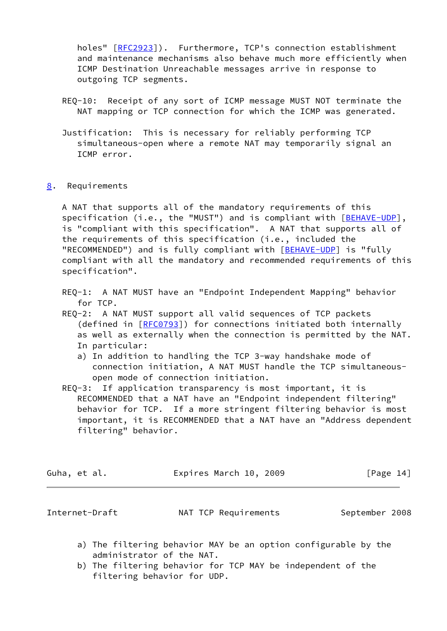holes" [[RFC2923](https://datatracker.ietf.org/doc/pdf/rfc2923)]). Furthermore, TCP's connection establishment and maintenance mechanisms also behave much more efficiently when ICMP Destination Unreachable messages arrive in response to outgoing TCP segments.

- REQ-10: Receipt of any sort of ICMP message MUST NOT terminate the NAT mapping or TCP connection for which the ICMP was generated.
- Justification: This is necessary for reliably performing TCP simultaneous-open where a remote NAT may temporarily signal an ICMP error.
- <span id="page-15-0"></span>[8](#page-15-0). Requirements

 A NAT that supports all of the mandatory requirements of this specification (i.e., the "MUST") and is compliant with [\[BEHAVE-UDP](#page-16-1)], is "compliant with this specification". A NAT that supports all of the requirements of this specification (i.e., included the "RECOMMENDED") and is fully compliant with [[BEHAVE-UDP\]](#page-16-1) is "fully compliant with all the mandatory and recommended requirements of this specification".

 REQ-1: A NAT MUST have an "Endpoint Independent Mapping" behavior for TCP.

- REQ-2: A NAT MUST support all valid sequences of TCP packets (defined in [\[RFC0793](https://datatracker.ietf.org/doc/pdf/rfc0793)]) for connections initiated both internally as well as externally when the connection is permitted by the NAT. In particular:
	- a) In addition to handling the TCP 3-way handshake mode of connection initiation, A NAT MUST handle the TCP simultaneous open mode of connection initiation.
- REQ-3: If application transparency is most important, it is RECOMMENDED that a NAT have an "Endpoint independent filtering" behavior for TCP. If a more stringent filtering behavior is most important, it is RECOMMENDED that a NAT have an "Address dependent filtering" behavior.

| Guha, et al. | Expires March 10, 2009 | [Page 14] |
|--------------|------------------------|-----------|
|--------------|------------------------|-----------|

<span id="page-15-1"></span>

Internet-Draft NAT TCP Requirements September 2008

- a) The filtering behavior MAY be an option configurable by the administrator of the NAT.
- b) The filtering behavior for TCP MAY be independent of the filtering behavior for UDP.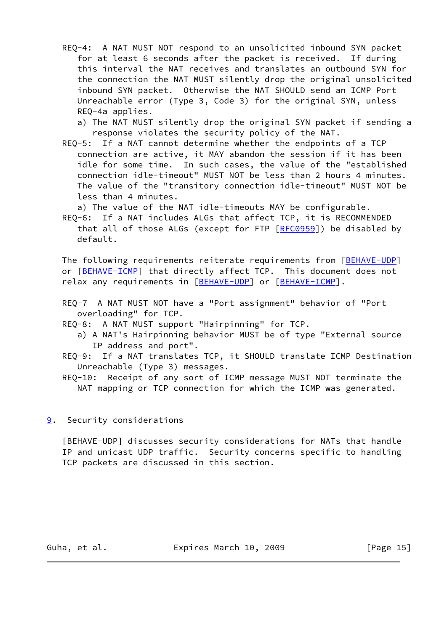REQ-4: A NAT MUST NOT respond to an unsolicited inbound SYN packet for at least 6 seconds after the packet is received. If during this interval the NAT receives and translates an outbound SYN for the connection the NAT MUST silently drop the original unsolicited inbound SYN packet. Otherwise the NAT SHOULD send an ICMP Port Unreachable error (Type 3, Code 3) for the original SYN, unless REQ-4a applies.

 a) The NAT MUST silently drop the original SYN packet if sending a response violates the security policy of the NAT.

 REQ-5: If a NAT cannot determine whether the endpoints of a TCP connection are active, it MAY abandon the session if it has been idle for some time. In such cases, the value of the "established connection idle-timeout" MUST NOT be less than 2 hours 4 minutes. The value of the "transitory connection idle-timeout" MUST NOT be less than 4 minutes.

a) The value of the NAT idle-timeouts MAY be configurable.

 REQ-6: If a NAT includes ALGs that affect TCP, it is RECOMMENDED that all of those ALGs (except for FTP [[RFC0959](https://datatracker.ietf.org/doc/pdf/rfc0959)]) be disabled by default.

The following requirements reiterate requirements from [\[BEHAVE-UDP](#page-16-1)] or [[BEHAVE-ICMP\]](#page-19-6) that directly affect TCP. This document does not relax any requirements in [[BEHAVE-UDP\]](#page-16-1) or [[BEHAVE-ICMP](#page-19-6)].

- REQ-7 A NAT MUST NOT have a "Port assignment" behavior of "Port overloading" for TCP.
- REQ-8: A NAT MUST support "Hairpinning" for TCP.
	- a) A NAT's Hairpinning behavior MUST be of type "External source IP address and port".
- REQ-9: If a NAT translates TCP, it SHOULD translate ICMP Destination Unreachable (Type 3) messages.

 REQ-10: Receipt of any sort of ICMP message MUST NOT terminate the NAT mapping or TCP connection for which the ICMP was generated.

#### <span id="page-16-0"></span>[9](#page-16-0). Security considerations

<span id="page-16-1"></span> [BEHAVE-UDP] discusses security considerations for NATs that handle IP and unicast UDP traffic. Security concerns specific to handling TCP packets are discussed in this section.

Guha, et al. **Expires March 10, 2009** [Page 15]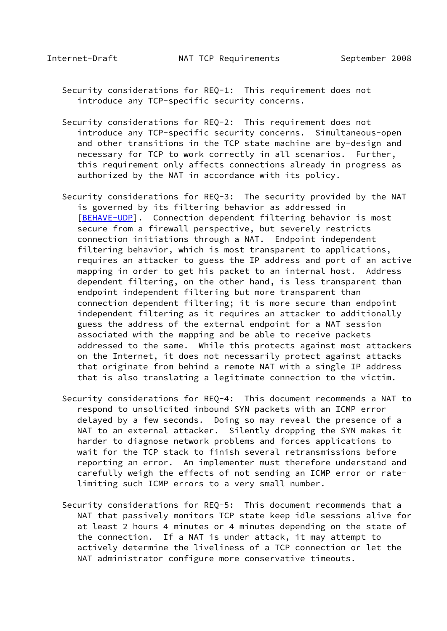- Security considerations for REQ-1: This requirement does not introduce any TCP-specific security concerns.
- Security considerations for REQ-2: This requirement does not introduce any TCP-specific security concerns. Simultaneous-open and other transitions in the TCP state machine are by-design and necessary for TCP to work correctly in all scenarios. Further, this requirement only affects connections already in progress as authorized by the NAT in accordance with its policy.
- Security considerations for REQ-3: The security provided by the NAT is governed by its filtering behavior as addressed in [[BEHAVE-UDP\]](#page-16-1). Connection dependent filtering behavior is most secure from a firewall perspective, but severely restricts connection initiations through a NAT. Endpoint independent filtering behavior, which is most transparent to applications, requires an attacker to guess the IP address and port of an active mapping in order to get his packet to an internal host. Address dependent filtering, on the other hand, is less transparent than endpoint independent filtering but more transparent than connection dependent filtering; it is more secure than endpoint independent filtering as it requires an attacker to additionally guess the address of the external endpoint for a NAT session associated with the mapping and be able to receive packets addressed to the same. While this protects against most attackers on the Internet, it does not necessarily protect against attacks that originate from behind a remote NAT with a single IP address that is also translating a legitimate connection to the victim.
- Security considerations for REQ-4: This document recommends a NAT to respond to unsolicited inbound SYN packets with an ICMP error delayed by a few seconds. Doing so may reveal the presence of a NAT to an external attacker. Silently dropping the SYN makes it harder to diagnose network problems and forces applications to wait for the TCP stack to finish several retransmissions before reporting an error. An implementer must therefore understand and carefully weigh the effects of not sending an ICMP error or rate limiting such ICMP errors to a very small number.
- Security considerations for REQ-5: This document recommends that a NAT that passively monitors TCP state keep idle sessions alive for at least 2 hours 4 minutes or 4 minutes depending on the state of the connection. If a NAT is under attack, it may attempt to actively determine the liveliness of a TCP connection or let the NAT administrator configure more conservative timeouts.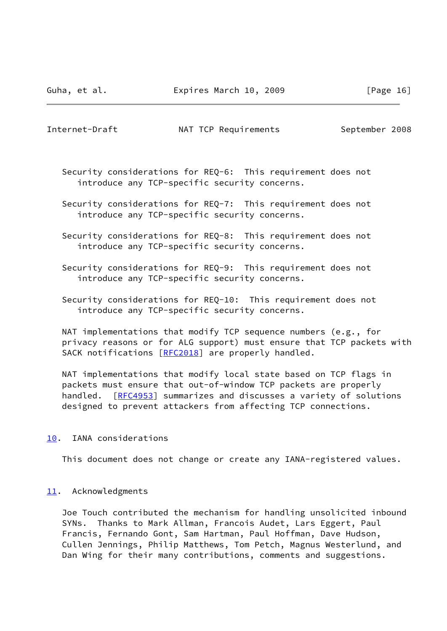<span id="page-18-1"></span>Internet-Draft MAT TCP Requirements September 2008

- Security considerations for REQ-6: This requirement does not introduce any TCP-specific security concerns.
- Security considerations for REQ-7: This requirement does not introduce any TCP-specific security concerns.
- Security considerations for REQ-8: This requirement does not introduce any TCP-specific security concerns.
- Security considerations for REQ-9: This requirement does not introduce any TCP-specific security concerns.
- Security considerations for REQ-10: This requirement does not introduce any TCP-specific security concerns.
- NAT implementations that modify TCP sequence numbers (e.g., for privacy reasons or for ALG support) must ensure that TCP packets with SACK notifications [[RFC2018\]](https://datatracker.ietf.org/doc/pdf/rfc2018) are properly handled.
- NAT implementations that modify local state based on TCP flags in packets must ensure that out-of-window TCP packets are properly handled. [[RFC4953](https://datatracker.ietf.org/doc/pdf/rfc4953)] summarizes and discusses a variety of solutions designed to prevent attackers from affecting TCP connections.
- <span id="page-18-0"></span>[10.](#page-18-0) IANA considerations

This document does not change or create any IANA-registered values.

#### <span id="page-18-2"></span>[11.](#page-18-2) Acknowledgments

 Joe Touch contributed the mechanism for handling unsolicited inbound SYNs. Thanks to Mark Allman, Francois Audet, Lars Eggert, Paul Francis, Fernando Gont, Sam Hartman, Paul Hoffman, Dave Hudson, Cullen Jennings, Philip Matthews, Tom Petch, Magnus Westerlund, and Dan Wing for their many contributions, comments and suggestions.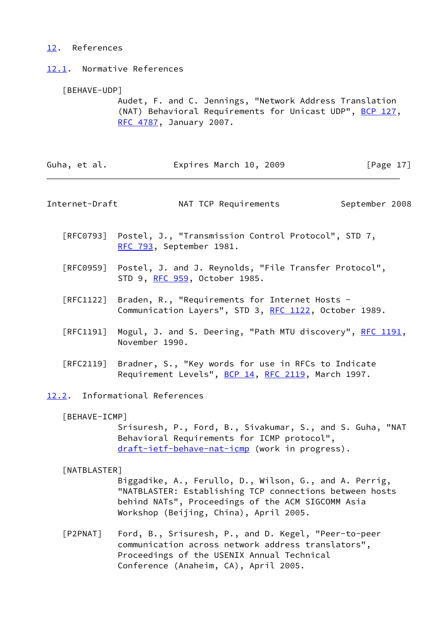# <span id="page-19-0"></span>[12.](#page-19-0) References

<span id="page-19-1"></span>[12.1](#page-19-1). Normative References

# [BEHAVE-UDP]

 Audet, F. and C. Jennings, "Network Address Translation (NAT) Behavioral Requirements for Unicast UDP", [BCP 127](https://datatracker.ietf.org/doc/pdf/bcp127), [RFC 4787,](https://datatracker.ietf.org/doc/pdf/rfc4787) January 2007.

<span id="page-19-6"></span><span id="page-19-5"></span><span id="page-19-4"></span><span id="page-19-3"></span><span id="page-19-2"></span>

| Guha, et al.                     | Expires March 10, 2009                                                                                                                                                                                           | [Page $17$ ]   |
|----------------------------------|------------------------------------------------------------------------------------------------------------------------------------------------------------------------------------------------------------------|----------------|
| Internet-Draft                   | NAT TCP Requirements                                                                                                                                                                                             | September 2008 |
|                                  | [RFC0793] Postel, J., "Transmission Control Protocol", STD 7,<br>RFC 793, September 1981.                                                                                                                        |                |
|                                  | [RFC0959] Postel, J. and J. Reynolds, "File Transfer Protocol",<br>STD 9, <u>RFC 959</u> , October 1985.                                                                                                         |                |
| $\lceil \mathsf{RFC1122} \rceil$ | Braden, R., "Requirements for Internet Hosts -<br>Communication Layers", STD 3, RFC 1122, October 1989.                                                                                                          |                |
| [RFC1191]                        | Mogul, J. and S. Deering, "Path MTU discovery", RFC 1191,<br>November 1990.                                                                                                                                      |                |
|                                  | [RFC2119] Bradner, S., "Key words for use in RFCs to Indicate<br>Requirement Levels", BCP 14, RFC 2119, March 1997.                                                                                              |                |
|                                  | 12.2. Informational References                                                                                                                                                                                   |                |
| [BEHAVE-ICMP]                    | Srisuresh, P., Ford, B., Sivakumar, S., and S. Guha, "NAT<br>Behavioral Requirements for ICMP protocol",<br>draft-ietf-behave-nat-icmp (work in progress).                                                       |                |
| [NATBLASTER]                     | Biggadike, A., Ferullo, D., Wilson, G., and A. Perrig,<br>"NATBLASTER: Establishing TCP connections between hosts<br>behind NATs", Proceedings of the ACM SIGCOMM Asia<br>Workshop (Beijing, China), April 2005. |                |
| $[$ P2PNAT]                      | Ford, B., Srisuresh, P., and D. Kegel, "Peer-to-peer<br>communication across network address translators",<br>Proceedings of the USENIX Annual Technical<br>Conference (Anaheim, CA), April 2005.                |                |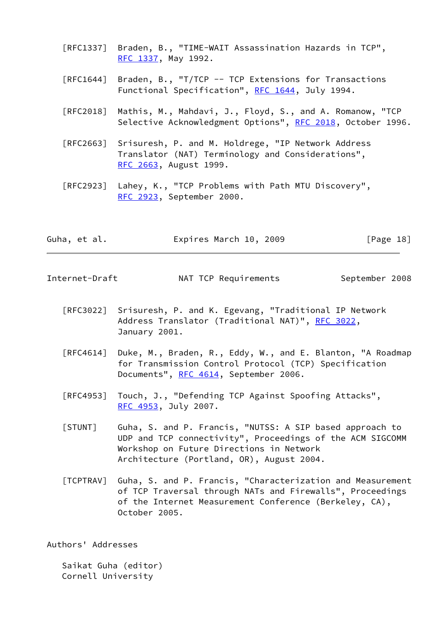- [RFC1337] Braden, B., "TIME-WAIT Assassination Hazards in TCP", [RFC 1337,](https://datatracker.ietf.org/doc/pdf/rfc1337) May 1992.
- [RFC1644] Braden, B., "T/TCP -- TCP Extensions for Transactions Functional Specification", [RFC 1644](https://datatracker.ietf.org/doc/pdf/rfc1644), July 1994.
- [RFC2018] Mathis, M., Mahdavi, J., Floyd, S., and A. Romanow, "TCP Selective Acknowledgment Options", [RFC 2018](https://datatracker.ietf.org/doc/pdf/rfc2018), October 1996.
- [RFC2663] Srisuresh, P. and M. Holdrege, "IP Network Address Translator (NAT) Terminology and Considerations", [RFC 2663,](https://datatracker.ietf.org/doc/pdf/rfc2663) August 1999.
- [RFC2923] Lahey, K., "TCP Problems with Path MTU Discovery", [RFC 2923,](https://datatracker.ietf.org/doc/pdf/rfc2923) September 2000.

| Guha, et al. | Expires March 10, 2009 | [Page 18] |
|--------------|------------------------|-----------|
|--------------|------------------------|-----------|

<span id="page-20-0"></span>Internet-Draft MAT TCP Requirements September 2008

- [RFC3022] Srisuresh, P. and K. Egevang, "Traditional IP Network Address Translator (Traditional NAT)", [RFC 3022](https://datatracker.ietf.org/doc/pdf/rfc3022), January 2001.
- [RFC4614] Duke, M., Braden, R., Eddy, W., and E. Blanton, "A Roadmap for Transmission Control Protocol (TCP) Specification Documents", [RFC 4614,](https://datatracker.ietf.org/doc/pdf/rfc4614) September 2006.
- [RFC4953] Touch, J., "Defending TCP Against Spoofing Attacks", [RFC 4953,](https://datatracker.ietf.org/doc/pdf/rfc4953) July 2007.
- <span id="page-20-1"></span> [STUNT] Guha, S. and P. Francis, "NUTSS: A SIP based approach to UDP and TCP connectivity", Proceedings of the ACM SIGCOMM Workshop on Future Directions in Network Architecture (Portland, OR), August 2004.
- <span id="page-20-2"></span> [TCPTRAV] Guha, S. and P. Francis, "Characterization and Measurement of TCP Traversal through NATs and Firewalls", Proceedings of the Internet Measurement Conference (Berkeley, CA), October 2005.

Authors' Addresses

 Saikat Guha (editor) Cornell University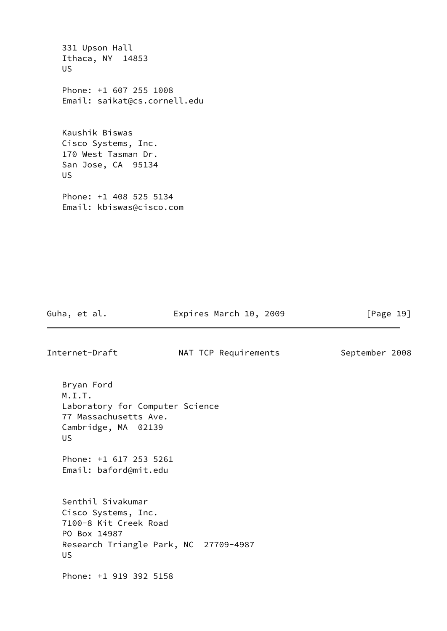331 Upson Hall Ithaca, NY 14853 US Phone: +1 607 255 1008 Email: saikat@cs.cornell.edu Kaushik Biswas Cisco Systems, Inc. 170 West Tasman Dr. San Jose, CA 95134 US Phone: +1 408 525 5134 Email: kbiswas@cisco.com

Guha, et al. **Expires March 10, 2009** [Page 19]

Internet-Draft MAT TCP Requirements September 2008

 Bryan Ford M.I.T. Laboratory for Computer Science 77 Massachusetts Ave. Cambridge, MA 02139 US

 Phone: +1 617 253 5261 Email: baford@mit.edu

 Senthil Sivakumar Cisco Systems, Inc. 7100-8 Kit Creek Road PO Box 14987 Research Triangle Park, NC 27709-4987 US

Phone: +1 919 392 5158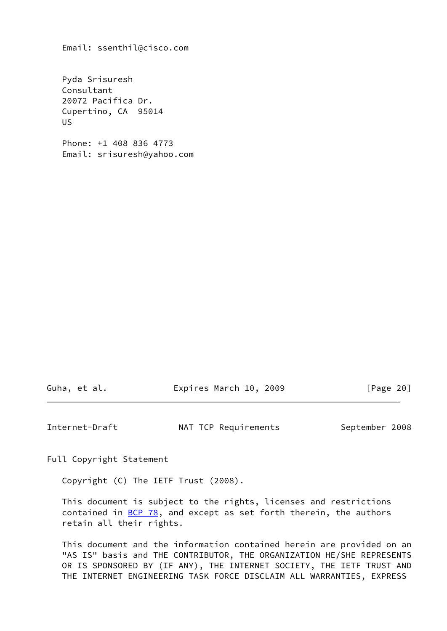Email: ssenthil@cisco.com

 Pyda Srisuresh Consultant 20072 Pacifica Dr. Cupertino, CA 95014 US

 Phone: +1 408 836 4773 Email: srisuresh@yahoo.com

Guha, et al. **Expires March 10, 2009** [Page 20]

<span id="page-22-0"></span>Internet-Draft MAT TCP Requirements September 2008

Full Copyright Statement

Copyright (C) The IETF Trust (2008).

 This document is subject to the rights, licenses and restrictions contained in  $\underline{BCP}$  78, and except as set forth therein, the authors retain all their rights.

 This document and the information contained herein are provided on an "AS IS" basis and THE CONTRIBUTOR, THE ORGANIZATION HE/SHE REPRESENTS OR IS SPONSORED BY (IF ANY), THE INTERNET SOCIETY, THE IETF TRUST AND THE INTERNET ENGINEERING TASK FORCE DISCLAIM ALL WARRANTIES, EXPRESS